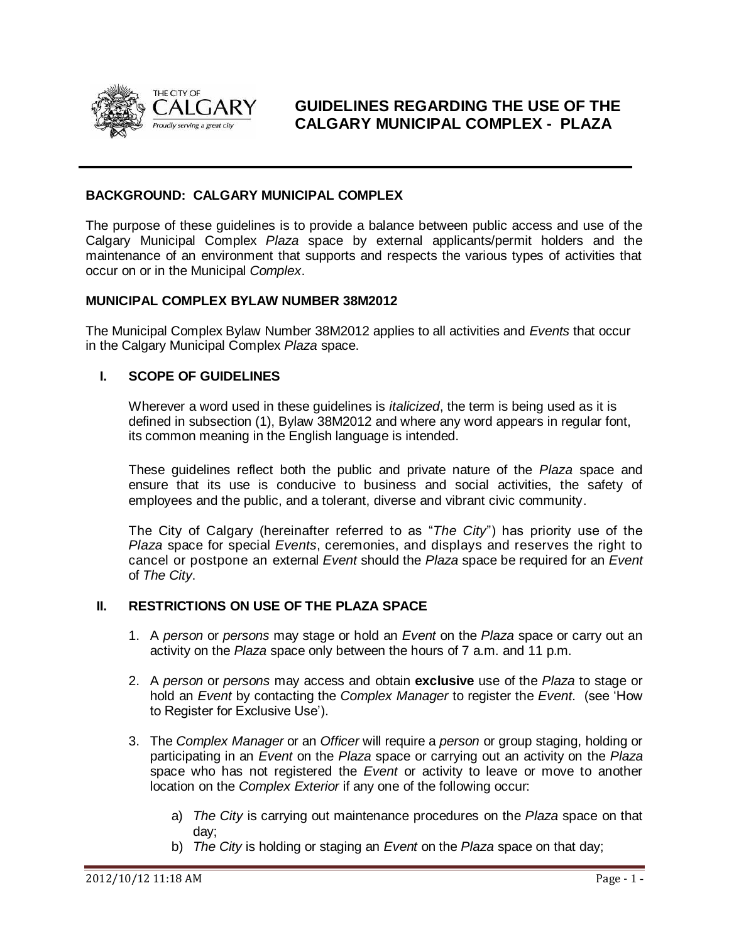

**GUIDELINES REGARDING THE USE OF THE CALGARY MUNICIPAL COMPLEX - PLAZA**

#### **BACKGROUND: CALGARY MUNICIPAL COMPLEX**

The purpose of these guidelines is to provide a balance between public access and use of the Calgary Municipal Complex *Plaza* space by external applicants/permit holders and the maintenance of an environment that supports and respects the various types of activities that occur on or in the Municipal *Complex*.

#### **MUNICIPAL COMPLEX BYLAW NUMBER 38M2012**

The Municipal Complex Bylaw Number 38M2012 applies to all activities and *Events* that occur in the Calgary Municipal Complex *Plaza* space.

#### **I. SCOPE OF GUIDELINES**

Wherever a word used in these guidelines is *italicized*, the term is being used as it is defined in subsection (1), Bylaw 38M2012 and where any word appears in regular font, its common meaning in the English language is intended.

These guidelines reflect both the public and private nature of the *Plaza* space and ensure that its use is conducive to business and social activities, the safety of employees and the public, and a tolerant, diverse and vibrant civic community.

The City of Calgary (hereinafter referred to as "*The City*") has priority use of the *Plaza* space for special *Events*, ceremonies, and displays and reserves the right to cancel or postpone an external *Event* should the *Plaza* space be required for an *Event* of *The City*.

### **II. RESTRICTIONS ON USE OF THE PLAZA SPACE**

- 1. A *person* or *persons* may stage or hold an *Event* on the *Plaza* space or carry out an activity on the *Plaza* space only between the hours of 7 a.m. and 11 p.m.
- 2. A *person* or *persons* may access and obtain **exclusive** use of the *Plaza* to stage or hold an *Event* by contacting the *Complex Manager* to register the *Event*. (see "How to Register for Exclusive Use").
- 3. The *Complex Manager* or an *Officer* will require a *person* or group staging, holding or participating in an *Event* on the *Plaza* space or carrying out an activity on the *Plaza* space who has not registered the *Event* or activity to leave or move to another location on the *Complex Exterior* if any one of the following occur:
	- a) *The City* is carrying out maintenance procedures on the *Plaza* space on that day;
	- b) *The City* is holding or staging an *Event* on the *Plaza* space on that day;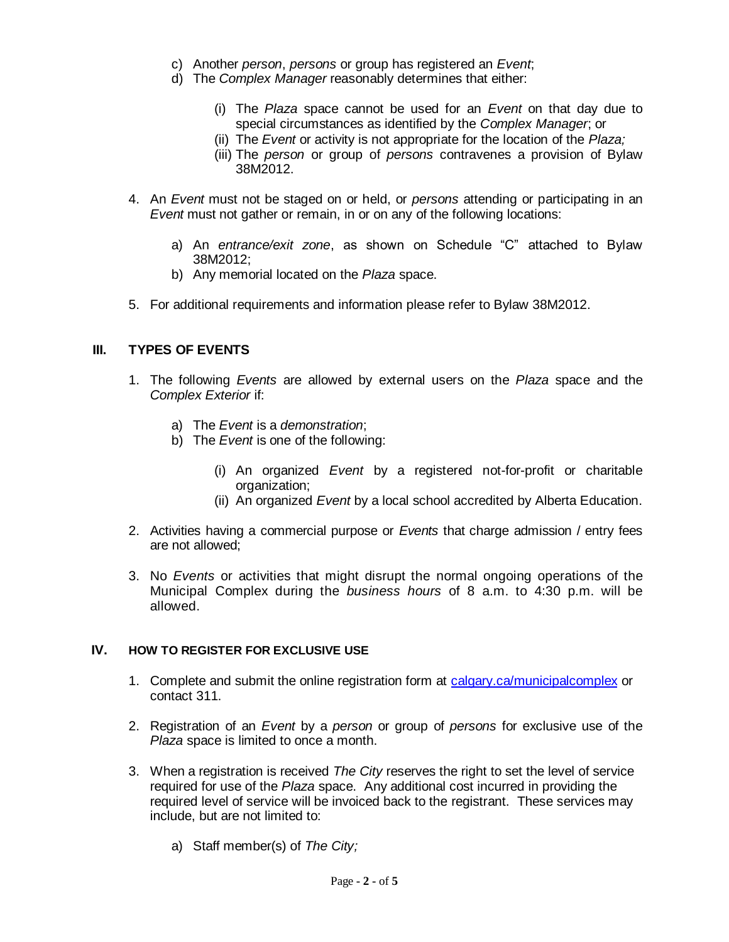- c) Another *person*, *persons* or group has registered an *Event*;
- d) The *Complex Manager* reasonably determines that either:
	- (i) The *Plaza* space cannot be used for an *Event* on that day due to special circumstances as identified by the *Complex Manager*; or
	- (ii) The *Event* or activity is not appropriate for the location of the *Plaza;*
	- (iii) The *person* or group of *persons* contravenes a provision of Bylaw 38M2012.
- 4. An *Event* must not be staged on or held, or *persons* attending or participating in an *Event* must not gather or remain, in or on any of the following locations:
	- a) An *entrance/exit zone*, as shown on Schedule "C" attached to Bylaw 38M2012;
	- b) Any memorial located on the *Plaza* space.
- 5. For additional requirements and information please refer to Bylaw 38M2012.

#### **III. TYPES OF EVENTS**

- 1. The following *Events* are allowed by external users on the *Plaza* space and the *Complex Exterior* if:
	- a) The *Event* is a *demonstration*;
	- b) The *Event* is one of the following:
		- (i) An organized *Event* by a registered not-for-profit or charitable organization;
		- (ii) An organized *Event* by a local school accredited by Alberta Education.
- 2. Activities having a commercial purpose or *Events* that charge admission / entry fees are not allowed;
- 3. No *Events* or activities that might disrupt the normal ongoing operations of the Municipal Complex during the *business hours* of 8 a.m. to 4:30 p.m. will be allowed.

### **IV. HOW TO REGISTER FOR EXCLUSIVE USE**

- 1. Complete and submit the online registration form at [calgary.ca/municipalcomplex](http://www.calgary.ca/municipalcomplex) or contact 311.
- 2. Registration of an *Event* by a *person* or group of *persons* for exclusive use of the *Plaza* space is limited to once a month.
- 3. When a registration is received *The City* reserves the right to set the level of service required for use of the *Plaza* space. Any additional cost incurred in providing the required level of service will be invoiced back to the registrant. These services may include, but are not limited to:
	- a) Staff member(s) of *The City;*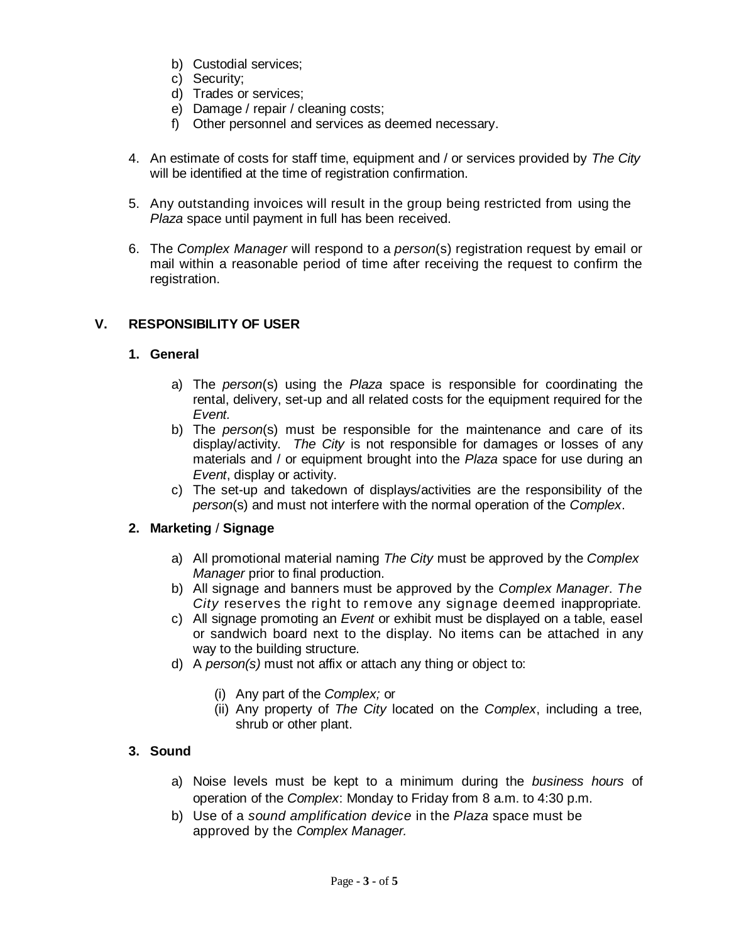- b) Custodial services;
- c) Security;
- d) Trades or services;
- e) Damage / repair / cleaning costs;
- f) Other personnel and services as deemed necessary.
- 4. An estimate of costs for staff time, equipment and / or services provided by *The City* will be identified at the time of registration confirmation.
- 5. Any outstanding invoices will result in the group being restricted from using the *Plaza* space until payment in full has been received.
- 6. The *Complex Manager* will respond to a *person*(s) registration request by email or mail within a reasonable period of time after receiving the request to confirm the registration.

### **V. RESPONSIBILITY OF USER**

### **1. General**

- a) The *person*(s) using the *Plaza* space is responsible for coordinating the rental, delivery, set-up and all related costs for the equipment required for the *Event.*
- b) The *person*(s) must be responsible for the maintenance and care of its display/activity. *The City* is not responsible for damages or losses of any materials and / or equipment brought into the *Plaza* space for use during an *Event*, display or activity.
- c) The set-up and takedown of displays/activities are the responsibility of the *person*(s) and must not interfere with the normal operation of the *Complex*.

## **2. Marketing** / **Signage**

- a) All promotional material naming *The City* must be approved by the *Complex Manager* prior to final production.
- b) All signage and banners must be approved by the *Complex Manager*. *The City* reserves the right to remove any signage deemed inappropriate.
- c) All signage promoting an *Event* or exhibit must be displayed on a table, easel or sandwich board next to the display. No items can be attached in any way to the building structure.
- d) A *person(s)* must not affix or attach any thing or object to:
	- (i) Any part of the *Complex;* or
	- (ii) Any property of *The City* located on the *Complex*, including a tree, shrub or other plant.

## **3. Sound**

- a) Noise levels must be kept to a minimum during the *business hours* of operation of the *Complex*: Monday to Friday from 8 a.m. to 4:30 p.m.
- b) Use of a *sound amplification device* in the *Plaza* space must be approved by the *Complex Manager.*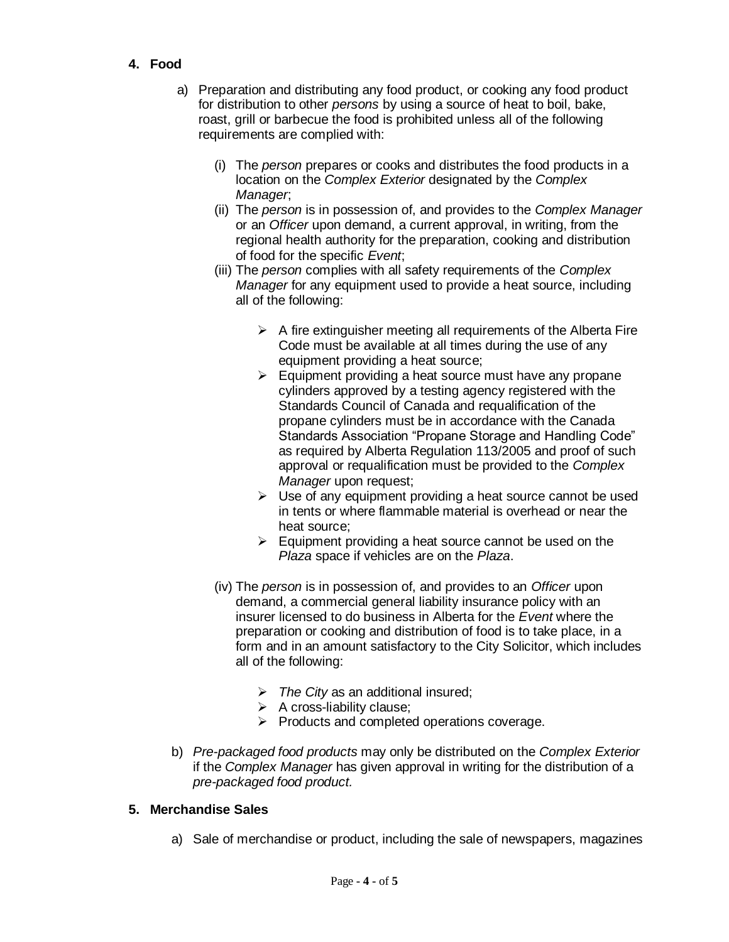- **4. Food**
	- a) Preparation and distributing any food product, or cooking any food product for distribution to other *persons* by using a source of heat to boil, bake, roast, grill or barbecue the food is prohibited unless all of the following requirements are complied with:
		- (i) The *person* prepares or cooks and distributes the food products in a location on the *Complex Exterior* designated by the *Complex Manager*;
		- (ii) The *person* is in possession of, and provides to the *Complex Manager* or an *Officer* upon demand, a current approval, in writing, from the regional health authority for the preparation, cooking and distribution of food for the specific *Event*;
		- (iii) The *person* complies with all safety requirements of the *Complex Manager* for any equipment used to provide a heat source, including all of the following:
			- $\triangleright$  A fire extinguisher meeting all requirements of the Alberta Fire Code must be available at all times during the use of any equipment providing a heat source;
			- $\triangleright$  Equipment providing a heat source must have any propane cylinders approved by a testing agency registered with the Standards Council of Canada and requalification of the propane cylinders must be in accordance with the Canada Standards Association "Propane Storage and Handling Code" as required by Alberta Regulation 113/2005 and proof of such approval or requalification must be provided to the *Complex Manager* upon request;
			- $\triangleright$  Use of any equipment providing a heat source cannot be used in tents or where flammable material is overhead or near the heat source;
			- $\triangleright$  Equipment providing a heat source cannot be used on the *Plaza* space if vehicles are on the *Plaza*.
		- (iv) The *person* is in possession of, and provides to an *Officer* upon demand, a commercial general liability insurance policy with an insurer licensed to do business in Alberta for the *Event* where the preparation or cooking and distribution of food is to take place, in a form and in an amount satisfactory to the City Solicitor, which includes all of the following:
			- *The City* as an additional insured;
			- $\triangleright$  A cross-liability clause;
			- $\triangleright$  Products and completed operations coverage.
	- b) *Pre-packaged food products* may only be distributed on the *Complex Exterior* if the *Complex Manager* has given approval in writing for the distribution of a *pre-packaged food product.*

## **5. Merchandise Sales**

a) Sale of merchandise or product, including the sale of newspapers, magazines